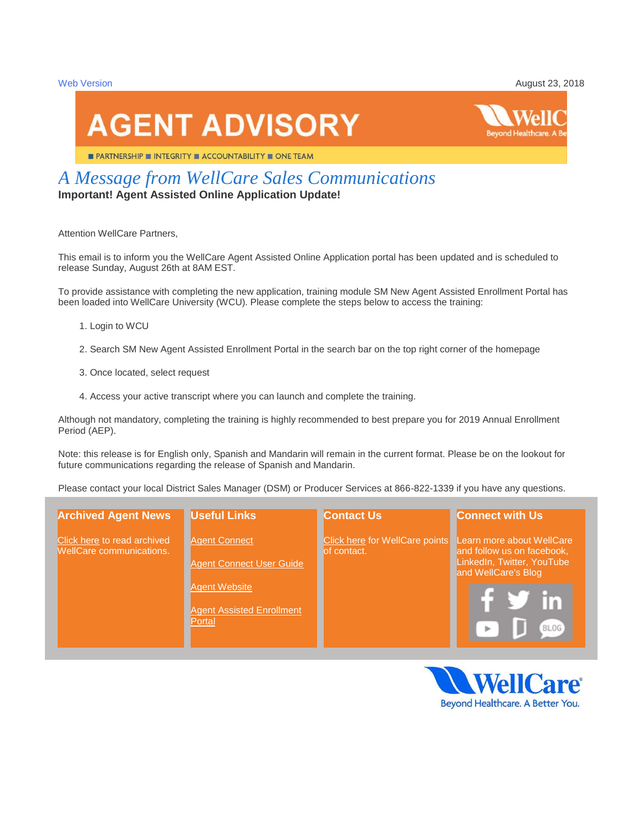[Web Version](http://t3433669.icpro.co/track.aspx?id=460|3464C5|5117|16A3|2A6|0|8F0|1|48117551&destination=http%3a%2f%2fpages.icpro.co%2farchive%2fbWVzc2FnZV8zNDMzNjY5XzM4Ml8xMTIwXzIwNzU5%3ftype%3d100%26channel%3d199&dchk=EE1AA86) **August 23, 2018** 

# **AGENT ADVISORY**

**PARTNERSHIP INTEGRITY ACCOUNTABILITY II ONE TEAM** 

# *A Message from WellCare Sales Communications*

**Important! Agent Assisted Online Application Update!**

Attention WellCare Partners,

This email is to inform you the WellCare Agent Assisted Online Application portal has been updated and is scheduled to release Sunday, August 26th at 8AM EST.

To provide assistance with completing the new application, training module SM New Agent Assisted Enrollment Portal has been loaded into WellCare University (WCU). Please complete the steps below to access the training:

- 1. Login to WCU
- 2. Search SM New Agent Assisted Enrollment Portal in the search bar on the top right corner of the homepage
- 3. Once located, select request
- 4. Access your active transcript where you can launch and complete the training.

Although not mandatory, completing the training is highly recommended to best prepare you for 2019 Annual Enrollment Period (AEP).

Note: this release is for English only, Spanish and Mandarin will remain in the current format. Please be on the lookout for future communications regarding the release of Spanish and Mandarin.

Please contact your local District Sales Manager (DSM) or Producer Services at 866-822-1339 if you have any questions.

| <b>Archived Agent News</b>                                     | <b>Useful Links</b>                                                                                                           | <b>Contact Us</b>                             | <b>Connect with Us</b>                                                                                                      |
|----------------------------------------------------------------|-------------------------------------------------------------------------------------------------------------------------------|-----------------------------------------------|-----------------------------------------------------------------------------------------------------------------------------|
| Click here to read archived<br><b>WellCare communications.</b> | <b>Agent Connect</b><br><b>Agent Connect User Guide</b><br><b>Agent Website</b><br><b>Agent Assisted Enrollment</b><br>Portal | Click here for WellCare points<br>of contact. | Learn more about WellCare<br>and follow us on facebook,<br>LinkedIn, Twitter, YouTube<br>and WellCare's Blog<br><b>BLOG</b> |

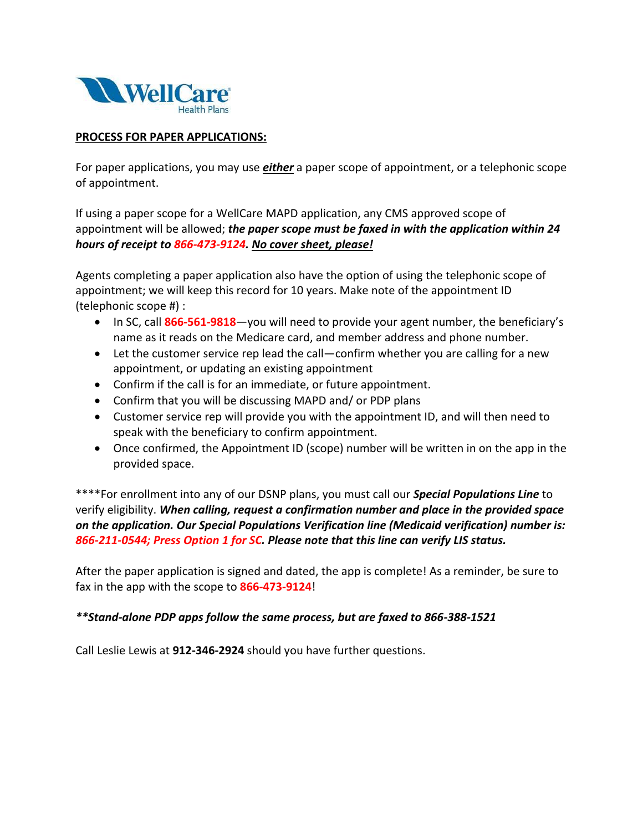

#### **PROCESS FOR PAPER APPLICATIONS:**

For paper applications, you may use *either* a paper scope of appointment, or a telephonic scope of appointment.

If using a paper scope for a WellCare MAPD application, any CMS approved scope of appointment will be allowed; *the paper scope must be faxed in with the application within 24 hours of receipt to 866-473-9124. No cover sheet, please!*

Agents completing a paper application also have the option of using the telephonic scope of appointment; we will keep this record for 10 years. Make note of the appointment ID (telephonic scope #) :

- In SC, call 866-561-9818—you will need to provide your agent number, the beneficiary's name as it reads on the Medicare card, and member address and phone number.
- Let the customer service rep lead the call—confirm whether you are calling for a new appointment, or updating an existing appointment
- Confirm if the call is for an immediate, or future appointment.
- Confirm that you will be discussing MAPD and/ or PDP plans
- Customer service rep will provide you with the appointment ID, and will then need to speak with the beneficiary to confirm appointment.
- Once confirmed, the Appointment ID (scope) number will be written in on the app in the provided space.

\*\*\*\*For enrollment into any of our DSNP plans, you must call our *Special Populations Line* to verify eligibility. *When calling, request a confirmation number and place in the provided space on the application. Our Special Populations Verification line (Medicaid verification) number is: 866-211-0544; Press Option 1 for SC. Please note that this line can verify LIS status.*

After the paper application is signed and dated, the app is complete! As a reminder, be sure to fax in the app with the scope to **866-473-9124**!

## *\*\*Stand-alone PDP apps follow the same process, but are faxed to 866-388-1521*

Call Leslie Lewis at **912-346-2924** should you have further questions.